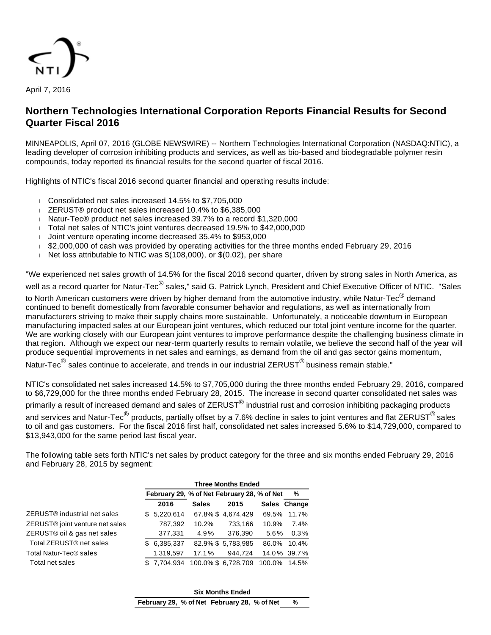

April 7, 2016

# **Northern Technologies International Corporation Reports Financial Results for Second Quarter Fiscal 2016**

MINNEAPOLIS, April 07, 2016 (GLOBE NEWSWIRE) -- Northern Technologies International Corporation (NASDAQ:NTIC), a leading developer of corrosion inhibiting products and services, as well as bio-based and biodegradable polymer resin compounds, today reported its financial results for the second quarter of fiscal 2016.

Highlights of NTIC's fiscal 2016 second quarter financial and operating results include:

- Consolidated net sales increased 14.5% to \$7,705,000
- ZERUST® product net sales increased 10.4% to \$6,385,000
- Natur-Tec® product net sales increased 39.7% to a record \$1,320,000
- Total net sales of NTIC's joint ventures decreased 19.5% to \$42,000,000
- Joint venture operating income decreased 35.4% to \$953,000
- \$2,000,000 of cash was provided by operating activities for the three months ended February 29. 2016
- Net loss attributable to NTIC was  $$(108,000)$ , or  $$(0.02)$ , per share

"We experienced net sales growth of 14.5% for the fiscal 2016 second quarter, driven by strong sales in North America, as well as a record quarter for Natur-Tec<sup>®</sup> sales," said G. Patrick Lynch, President and Chief Executive Officer of NTIC. "Sales to North American customers were driven by higher demand from the automotive industry, while Natur-Tec<sup>®</sup> demand continued to benefit domestically from favorable consumer behavior and regulations, as well as internationally from manufacturers striving to make their supply chains more sustainable. Unfortunately, a noticeable downturn in European manufacturing impacted sales at our European joint ventures, which reduced our total joint venture income for the quarter. We are working closely with our European joint ventures to improve performance despite the challenging business climate in that region. Although we expect our near-term quarterly results to remain volatile, we believe the second half of the year will produce sequential improvements in net sales and earnings, as demand from the oil and gas sector gains momentum,

Natur-Tec $^\circledR$  sales continue to accelerate, and trends in our industrial ZERUST $^\circledR$  business remain stable."

NTIC's consolidated net sales increased 14.5% to \$7,705,000 during the three months ended February 29, 2016, compared to \$6,729,000 for the three months ended February 28, 2015. The increase in second quarter consolidated net sales was primarily a result of increased demand and sales of ZERUST<sup>®</sup> industrial rust and corrosion inhibiting packaging products and services and Natur-Tec $^\circledR$  products, partially offset by a 7.6% decline in sales to joint ventures and flat ZERUST $^\circledR$  sales to oil and gas customers. For the fiscal 2016 first half, consolidated net sales increased 5.6% to \$14,729,000, compared to \$13,943,000 for the same period last fiscal year.

The following table sets forth NTIC's net sales by product category for the three and six months ended February 29, 2016 and February 28, 2015 by segment:

|                                     | <b>Three Months Ended</b> |             |              |                                             |         |              |  |
|-------------------------------------|---------------------------|-------------|--------------|---------------------------------------------|---------|--------------|--|
|                                     |                           |             |              | February 29, % of Net February 28, % of Net |         | %            |  |
|                                     |                           | 2016        | <b>Sales</b> | 2015                                        |         | Sales Change |  |
| ZERUST® industrial net sales        |                           | \$5,220,614 |              | 67.8% \$4.674.429                           | 69.5%   | 11.7%        |  |
| ZERUST® joint venture net sales     |                           | 787,392     | 10.2%        | 733,166                                     | 10.9%   | 7.4%         |  |
| ZERUST® oil & gas net sales         |                           | 377,331     | 4.9%         | 376,390                                     | $5.6\%$ | 0.3%         |  |
| Total ZERUST <sup>®</sup> net sales | \$                        | 6,385,337   |              | 82.9% \$5.783.985                           | 86.0%   | 10.4%        |  |
| Total Natur-Tec® sales              |                           | 1,319,597   | 17.1%        | 944,724                                     |         | 14.0% 39.7%  |  |
| Total net sales                     |                           | \$7.704.934 |              | 100.0% \$6,728,709                          | 100.0%  | 14.5%        |  |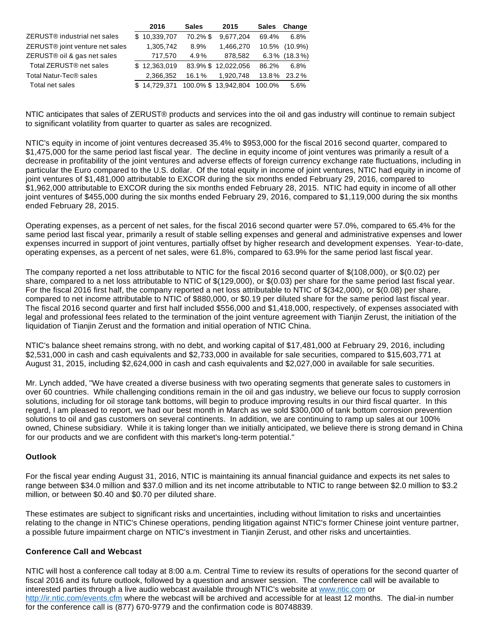|                                             | 2016         | <b>Sales</b> | 2015                | <b>Sales</b> | Change     |
|---------------------------------------------|--------------|--------------|---------------------|--------------|------------|
| ZERUST <sup>®</sup> industrial net sales    | \$10,339,707 | 70.2% \$     | 9,677,204           | 69.4%        | 6.8%       |
| ZERUST <sup>®</sup> joint venture net sales | 1,305,742    | 8.9%         | 1.466.270           | 10.5%        | $(10.9\%)$ |
| ZERUST® oil & gas net sales                 | 717,570      | 4.9%         | 878.582             | $6.3\%$      | $(18.3\%)$ |
| Total ZERUST <sup>®</sup> net sales         | \$12,363,019 |              | 83.9% \$12.022.056  | 86.2%        | 6.8%       |
| Total Natur-Tec® sales                      | 2,366,352    | 16.1%        | 1.920.748           | 13.8%        | 23.2%      |
| Total net sales                             | \$14.729.371 |              | 100.0% \$13,942,804 | 100.0%       | 5.6%       |

NTIC anticipates that sales of ZERUST® products and services into the oil and gas industry will continue to remain subject to significant volatility from quarter to quarter as sales are recognized.

NTIC's equity in income of joint ventures decreased 35.4% to \$953,000 for the fiscal 2016 second quarter, compared to \$1,475,000 for the same period last fiscal year. The decline in equity income of joint ventures was primarily a result of a decrease in profitability of the joint ventures and adverse effects of foreign currency exchange rate fluctuations, including in particular the Euro compared to the U.S. dollar. Of the total equity in income of joint ventures, NTIC had equity in income of joint ventures of \$1,481,000 attributable to EXCOR during the six months ended February 29, 2016, compared to \$1,962,000 attributable to EXCOR during the six months ended February 28, 2015. NTIC had equity in income of all other joint ventures of \$455,000 during the six months ended February 29, 2016, compared to \$1,119,000 during the six months ended February 28, 2015.

Operating expenses, as a percent of net sales, for the fiscal 2016 second quarter were 57.0%, compared to 65.4% for the same period last fiscal year, primarily a result of stable selling expenses and general and administrative expenses and lower expenses incurred in support of joint ventures, partially offset by higher research and development expenses. Year-to-date, operating expenses, as a percent of net sales, were 61.8%, compared to 63.9% for the same period last fiscal year.

The company reported a net loss attributable to NTIC for the fiscal 2016 second quarter of \$(108,000), or \$(0.02) per share, compared to a net loss attributable to NTIC of \$(129,000), or \$(0.03) per share for the same period last fiscal year. For the fiscal 2016 first half, the company reported a net loss attributable to NTIC of \$(342,000), or \$(0.08) per share, compared to net income attributable to NTIC of \$880,000, or \$0.19 per diluted share for the same period last fiscal year. The fiscal 2016 second quarter and first half included \$556,000 and \$1,418,000, respectively, of expenses associated with legal and professional fees related to the termination of the joint venture agreement with Tianjin Zerust, the initiation of the liquidation of Tianjin Zerust and the formation and initial operation of NTIC China.

NTIC's balance sheet remains strong, with no debt, and working capital of \$17,481,000 at February 29, 2016, including \$2,531,000 in cash and cash equivalents and \$2,733,000 in available for sale securities, compared to \$15,603,771 at August 31, 2015, including \$2,624,000 in cash and cash equivalents and \$2,027,000 in available for sale securities.

Mr. Lynch added, "We have created a diverse business with two operating segments that generate sales to customers in over 60 countries. While challenging conditions remain in the oil and gas industry, we believe our focus to supply corrosion solutions, including for oil storage tank bottoms, will begin to produce improving results in our third fiscal quarter. In this regard, I am pleased to report, we had our best month in March as we sold \$300,000 of tank bottom corrosion prevention solutions to oil and gas customers on several continents. In addition, we are continuing to ramp up sales at our 100% owned, Chinese subsidiary. While it is taking longer than we initially anticipated, we believe there is strong demand in China for our products and we are confident with this market's long-term potential."

### **Outlook**

For the fiscal year ending August 31, 2016, NTIC is maintaining its annual financial guidance and expects its net sales to range between \$34.0 million and \$37.0 million and its net income attributable to NTIC to range between \$2.0 million to \$3.2 million, or between \$0.40 and \$0.70 per diluted share.

These estimates are subject to significant risks and uncertainties, including without limitation to risks and uncertainties relating to the change in NTIC's Chinese operations, pending litigation against NTIC's former Chinese joint venture partner, a possible future impairment charge on NTIC's investment in Tianjin Zerust, and other risks and uncertainties.

### **Conference Call and Webcast**

NTIC will host a conference call today at 8:00 a.m. Central Time to review its results of operations for the second quarter of fiscal 2016 and its future outlook, followed by a question and answer session. The conference call will be available to interested parties through a live audio webcast available through NTIC's website at [www.ntic.com](http://www.ntic.com/) or <http://ir.ntic.com/events.cfm> where the webcast will be archived and accessible for at least 12 months. The dial-in number for the conference call is (877) 670-9779 and the confirmation code is 80748839.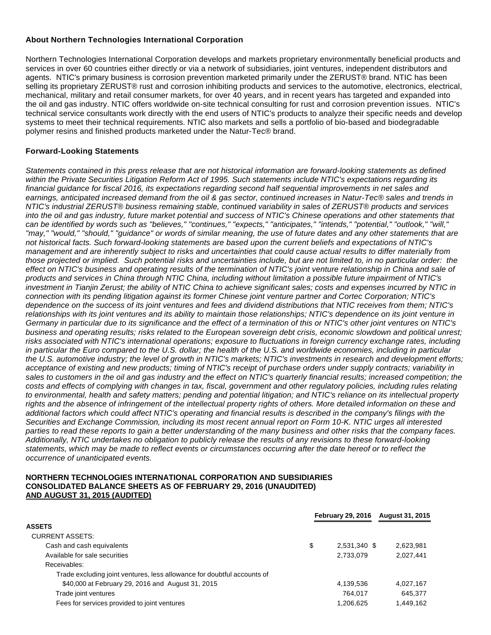## **About Northern Technologies International Corporation**

Northern Technologies International Corporation develops and markets proprietary environmentally beneficial products and services in over 60 countries either directly or via a network of subsidiaries, joint ventures, independent distributors and agents. NTIC's primary business is corrosion prevention marketed primarily under the ZERUST® brand. NTIC has been selling its proprietary ZERUST® rust and corrosion inhibiting products and services to the automotive, electronics, electrical, mechanical, military and retail consumer markets, for over 40 years, and in recent years has targeted and expanded into the oil and gas industry. NTIC offers worldwide on-site technical consulting for rust and corrosion prevention issues. NTIC's technical service consultants work directly with the end users of NTIC's products to analyze their specific needs and develop systems to meet their technical requirements. NTIC also markets and sells a portfolio of bio-based and biodegradable polymer resins and finished products marketed under the Natur-Tec® brand.

## **Forward-Looking Statements**

Statements contained in this press release that are not historical information are forward-looking statements as defined within the Private Securities Litigation Reform Act of 1995. Such statements include NTIC's expectations regarding its financial guidance for fiscal 2016, its expectations regarding second half sequential improvements in net sales and earnings, anticipated increased demand from the oil & gas sector, continued increases in Natur-Tec® sales and trends in NTIC's industrial ZERUST® business remaining stable, continued variability in sales of ZERUST® products and services into the oil and gas industry, future market potential and success of NTIC's Chinese operations and other statements that can be identified by words such as "believes," "continues," "expects," "anticipates," "intends," "potential," "outlook," "will," "may," "would," "should," "guidance" or words of similar meaning, the use of future dates and any other statements that are not historical facts. Such forward-looking statements are based upon the current beliefs and expectations of NTIC's management and are inherently subject to risks and uncertainties that could cause actual results to differ materially from those projected or implied. Such potential risks and uncertainties include, but are not limited to, in no particular order: the effect on NTIC's business and operating results of the termination of NTIC's joint venture relationship in China and sale of products and services in China through NTIC China, including without limitation a possible future impairment of NTIC's investment in Tianjin Zerust; the ability of NTIC China to achieve significant sales; costs and expenses incurred by NTIC in connection with its pending litigation against its former Chinese joint venture partner and Cortec Corporation; NTIC's dependence on the success of its joint ventures and fees and dividend distributions that NTIC receives from them; NTIC's relationships with its joint ventures and its ability to maintain those relationships; NTIC's dependence on its joint venture in Germany in particular due to its significance and the effect of a termination of this or NTIC's other joint ventures on NTIC's business and operating results; risks related to the European sovereign debt crisis, economic slowdown and political unrest; risks associated with NTIC's international operations; exposure to fluctuations in foreign currency exchange rates, including in particular the Euro compared to the U.S. dollar; the health of the U.S. and worldwide economies, including in particular the U.S. automotive industry; the level of growth in NTIC's markets; NTIC's investments in research and development efforts; acceptance of existing and new products; timing of NTIC's receipt of purchase orders under supply contracts; variability in sales to customers in the oil and gas industry and the effect on NTIC's quarterly financial results; increased competition; the costs and effects of complying with changes in tax, fiscal, government and other regulatory policies, including rules relating to environmental, health and safety matters; pending and potential litigation; and NTIC's reliance on its intellectual property rights and the absence of infringement of the intellectual property rights of others. More detailed information on these and additional factors which could affect NTIC's operating and financial results is described in the company's filings with the Securities and Exchange Commission, including its most recent annual report on Form 10-K. NTIC urges all interested parties to read these reports to gain a better understanding of the many business and other risks that the company faces. Additionally, NTIC undertakes no obligation to publicly release the results of any revisions to these forward-looking statements, which may be made to reflect events or circumstances occurring after the date hereof or to reflect the occurrence of unanticipated events.

### **NORTHERN TECHNOLOGIES INTERNATIONAL CORPORATION AND SUBSIDIARIES CONSOLIDATED BALANCE SHEETS AS OF FEBRUARY 29, 2016 (UNAUDITED) AND AUGUST 31, 2015 (AUDITED)**

|                                                                         |    |              | February 29, 2016 August 31, 2015 |
|-------------------------------------------------------------------------|----|--------------|-----------------------------------|
| <b>ASSETS</b>                                                           |    |              |                                   |
| <b>CURRENT ASSETS:</b>                                                  |    |              |                                   |
| Cash and cash equivalents                                               | \$ | 2,531,340 \$ | 2,623,981                         |
| Available for sale securities                                           |    | 2.733.079    | 2.027.441                         |
| Receivables:                                                            |    |              |                                   |
| Trade excluding joint ventures, less allowance for doubtful accounts of |    |              |                                   |
| \$40,000 at February 29, 2016 and August 31, 2015                       |    | 4,139,536    | 4,027,167                         |
| Trade joint ventures                                                    |    | 764.017      | 645.377                           |
| Fees for services provided to joint ventures                            |    | 1,206,625    | 1,449,162                         |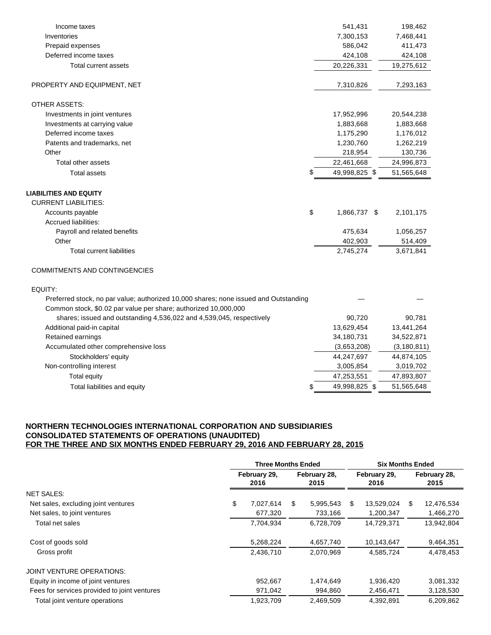| Income taxes                                                                         | 541,431             | 198,462       |
|--------------------------------------------------------------------------------------|---------------------|---------------|
| Inventories                                                                          | 7,300,153           | 7,468,441     |
| Prepaid expenses                                                                     | 586,042             | 411,473       |
| Deferred income taxes                                                                | 424,108             | 424,108       |
| Total current assets                                                                 | 20,226,331          | 19,275,612    |
| PROPERTY AND EQUIPMENT, NET                                                          | 7,310,826           | 7,293,163     |
| <b>OTHER ASSETS:</b>                                                                 |                     |               |
| Investments in joint ventures                                                        | 17,952,996          | 20,544,238    |
| Investments at carrying value                                                        | 1,883,668           | 1,883,668     |
| Deferred income taxes                                                                | 1,175,290           | 1,176,012     |
| Patents and trademarks, net                                                          | 1,230,760           | 1,262,219     |
| Other                                                                                | 218,954             | 130,736       |
| Total other assets                                                                   | 22,461,668          | 24,996,873    |
| <b>Total assets</b>                                                                  | \$<br>49,998,825 \$ | 51,565,648    |
| <b>LIABILITIES AND EQUITY</b>                                                        |                     |               |
| <b>CURRENT LIABILITIES:</b>                                                          |                     |               |
| Accounts payable                                                                     | \$<br>1,866,737 \$  | 2,101,175     |
| Accrued liabilities:                                                                 |                     |               |
| Payroll and related benefits                                                         | 475,634             | 1,056,257     |
| Other                                                                                | 402,903             | 514,409       |
| <b>Total current liabilities</b>                                                     | 2,745,274           | 3,671,841     |
| COMMITMENTS AND CONTINGENCIES                                                        |                     |               |
| EQUITY:                                                                              |                     |               |
| Preferred stock, no par value; authorized 10,000 shares; none issued and Outstanding |                     |               |
| Common stock, \$0.02 par value per share; authorized 10,000,000                      |                     |               |
| shares; issued and outstanding 4,536,022 and 4,539,045, respectively                 | 90,720              | 90,781        |
| Additional paid-in capital                                                           | 13,629,454          | 13,441,264    |
| Retained earnings                                                                    | 34,180,731          | 34,522,871    |
| Accumulated other comprehensive loss                                                 | (3,653,208)         | (3, 180, 811) |
| Stockholders' equity                                                                 | 44,247,697          | 44,874,105    |
| Non-controlling interest                                                             | 3,005,854           | 3,019,702     |
| <b>Total equity</b>                                                                  | 47,253,551          | 47,893,807    |
| Total liabilities and equity                                                         | \$<br>49,998,825 \$ | 51,565,648    |

## **NORTHERN TECHNOLOGIES INTERNATIONAL CORPORATION AND SUBSIDIARIES CONSOLIDATED STATEMENTS OF OPERATIONS (UNAUDITED) FOR THE THREE AND SIX MONTHS ENDED FEBRUARY 29, 2016 AND FEBRUARY 28, 2015**

|                                              | <b>Three Months Ended</b> |                      |           |                      | <b>Six Months Ended</b> |                      |            |  |
|----------------------------------------------|---------------------------|----------------------|-----------|----------------------|-------------------------|----------------------|------------|--|
|                                              | February 29,<br>2016      | February 28,<br>2015 |           | February 29,<br>2016 |                         | February 28,<br>2015 |            |  |
| <b>NET SALES:</b>                            |                           |                      |           |                      |                         |                      |            |  |
| Net sales, excluding joint ventures          | \$<br>7,027,614           | \$                   | 5,995,543 | \$                   | 13,529,024              | S.                   | 12,476,534 |  |
| Net sales, to joint ventures                 | 677,320                   |                      | 733,166   |                      | 1,200,347               |                      | 1,466,270  |  |
| Total net sales                              | 7,704,934                 |                      | 6.728.709 |                      | 14.729.371              |                      | 13,942,804 |  |
| Cost of goods sold                           | 5,268,224                 |                      | 4,657,740 |                      | 10,143,647              |                      | 9,464,351  |  |
| Gross profit                                 | 2,436,710                 |                      | 2.070.969 |                      | 4,585,724               |                      | 4,478,453  |  |
| JOINT VENTURE OPERATIONS:                    |                           |                      |           |                      |                         |                      |            |  |
| Equity in income of joint ventures           | 952.667                   |                      | 1,474,649 |                      | 1,936,420               |                      | 3,081,332  |  |
| Fees for services provided to joint ventures | 971,042                   |                      | 994,860   |                      | 2,456,471               |                      | 3,128,530  |  |
| Total joint venture operations               | 1,923,709                 |                      | 2,469,509 |                      | 4,392,891               |                      | 6,209,862  |  |